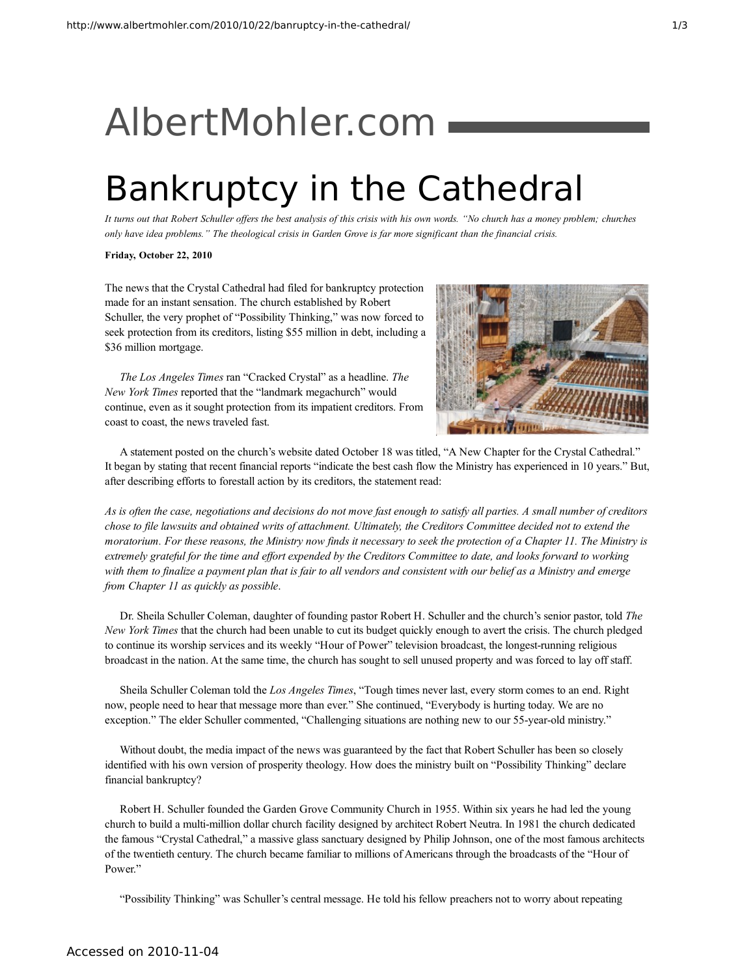## [AlbertMohler.com](http://www.albertmohler.com/)

## Bankruptcy in the Cathedral

It turns out that Robert Schuller offers the best analysis of this crisis with his own words. "No church has a money problem; churches only have idea problems." The theological crisis in Garden Grove is far more significant than the financial crisis.

## **Friday, October 22, 2010**

The news that the Crystal Cathedral had filed for bankruptcy protection made for an instant sensation. The church established by Robert Schuller, the very prophet of "Possibility Thinking," was now forced to seek protection from its creditors, listing \$55 million in debt, including a \$36 million mortgage.

*The Los Angeles Times* ran "Cracked Crystal" as a headline. *The New York Times* reported that the "landmark megachurch" would continue, even as it sought protection from its impatient creditors. From coast to coast, the news traveled fast.



A statement posted on the church's website dated October 18 was titled, "A New Chapter for the Crystal Cathedral." It began by stating that recent financial reports "indicate the best cash flow the Ministry has experienced in 10 years." But, after describing efforts to forestall action by its creditors, the statement read:

As is often the case, negotiations and decisions do not move fast enough to satisfy all parties. A small number of creditors chose to file lawsuits and obtained writs of attachment. Ultimately, the Creditors Committee decided not to extend the moratorium. For these reasons, the Ministry now finds it necessary to seek the protection of a Chapter 11. The Ministry is extremely grateful for the time and effort expended by the Creditors Committee to date, and looks forward to working with them to finalize a payment plan that is fair to all vendors and consistent with our belief as a Ministry and emerge *from Chapter 11 as quickly as possible*.

Dr. Sheila Schuller Coleman, daughter of founding pastor Robert H. Schuller and the church's senior pastor, told *The New York Times* that the church had been unable to cut its budget quickly enough to avert the crisis. The church pledged to continue its worship services and its weekly "Hour of Power" television broadcast, the longest-running religious broadcast in the nation. At the same time, the church has sought to sell unused property and was forced to lay off staff.

Sheila Schuller Coleman told the *Los Angeles Times*, "Tough times never last, every storm comes to an end. Right now, people need to hear that message more than ever." She continued, "Everybody is hurting today. We are no exception." The elder Schuller commented, "Challenging situations are nothing new to our 55-year-old ministry."

Without doubt, the media impact of the news was guaranteed by the fact that Robert Schuller has been so closely identified with his own version of prosperity theology. How does the ministry built on "Possibility Thinking" declare financial bankruptcy?

Robert H. Schuller founded the Garden Grove Community Church in 1955. Within six years he had led the young church to build a multi-million dollar church facility designed by architect Robert Neutra. In 1981 the church dedicated the famous "Crystal Cathedral," a massive glass sanctuary designed by Philip Johnson, one of the most famous architects of the twentieth century. The church became familiar to millions of Americans through the broadcasts of the "Hour of Power."

"Possibility Thinking" was Schuller's central message. He told his fellow preachers not to worry about repeating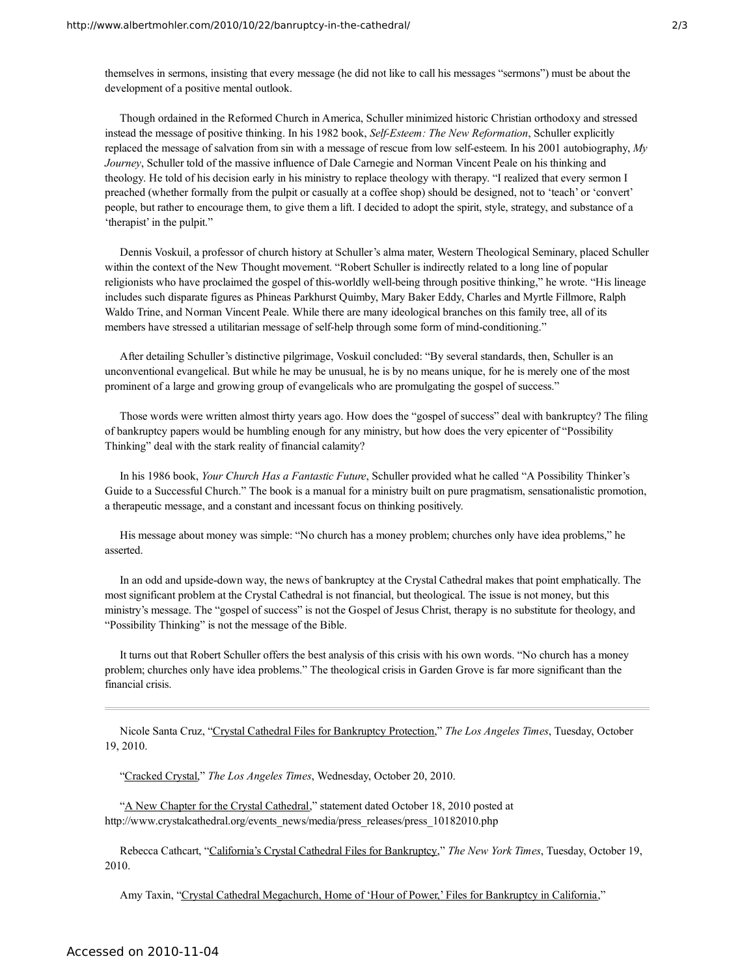themselves in sermons, insisting that every message (he did not like to call his messages "sermons") must be about the development of a positive mental outlook.

Though ordained in the Reformed Church in America, Schuller minimized historic Christian orthodoxy and stressed instead the message of positive thinking. In his 1982 book, *Self-Esteem: The New Reformation*, Schuller explicitly replaced the message of salvation from sin with a message of rescue from low self-esteem. In his 2001 autobiography, *My Journey*, Schuller told of the massive influence of Dale Carnegie and Norman Vincent Peale on his thinking and theology. He told of his decision early in his ministry to replace theology with therapy. "I realized that every sermon I preached (whether formally from the pulpit or casually at a coffee shop) should be designed, not to 'teach' or 'convert' people, but rather to encourage them, to give them a lift. I decided to adopt the spirit, style, strategy, and substance of a 'therapist' in the pulpit."

Dennis Voskuil, a professor of church history at Schuller's alma mater, Western Theological Seminary, placed Schuller within the context of the New Thought movement. "Robert Schuller is indirectly related to a long line of popular religionists who have proclaimed the gospel of this-worldly well-being through positive thinking," he wrote. "His lineage includes such disparate figures as Phineas Parkhurst Quimby, Mary Baker Eddy, Charles and Myrtle Fillmore, Ralph Waldo Trine, and Norman Vincent Peale. While there are many ideological branches on this family tree, all of its members have stressed a utilitarian message of self-help through some form of mind-conditioning."

After detailing Schuller's distinctive pilgrimage, Voskuil concluded: "By several standards, then, Schuller is an unconventional evangelical. But while he may be unusual, he is by no means unique, for he is merely one of the most prominent of a large and growing group of evangelicals who are promulgating the gospel of success."

Those words were written almost thirty years ago. How does the "gospel of success" deal with bankruptcy? The filing of bankruptcy papers would be humbling enough for any ministry, but how does the very epicenter of "Possibility Thinking" deal with the stark reality of financial calamity?

In his 1986 book, *Your Church Has a Fantastic Future*, Schuller provided what he called "A Possibility Thinker's Guide to a Successful Church." The book is a manual for a ministry built on pure pragmatism, sensationalistic promotion, a therapeutic message, and a constant and incessant focus on thinking positively.

His message about money was simple: "No church has a money problem; churches only have idea problems," he asserted.

In an odd and upside-down way, the news of bankruptcy at the Crystal Cathedral makes that point emphatically. The most significant problem at the Crystal Cathedral is not financial, but theological. The issue is not money, but this ministry's message. The "gospel of success" is not the Gospel of Jesus Christ, therapy is no substitute for theology, and "Possibility Thinking" is not the message of the Bible.

It turns out that Robert Schuller offers the best analysis of this crisis with his own words. "No church has a money problem; churches only have idea problems." The theological crisis in Garden Grove is far more significant than the financial crisis.

Nicole Santa Cruz, "Crystal Cathedral Files for [Bankruptcy](http://articles.latimes.com/2010/oct/19/local/la-me-crystal-cathedral-20101019) Protection," *The Los Angeles Times*, Tuesday, October 19, 2010.

["Cracked](http://www.latimes.com/news/opinion/editorials/la-ed-crystal-20101020,0,2561735.story) Crystal," *The Los Angeles Times*, Wednesday, October 20, 2010.

"A New Chapter for the Crystal [Cathedral,](http://www.crystalcathedral.org/events_news/media/press_releases/press_10182010.php)" statement dated October 18, 2010 posted at http://www.crystalcathedral.org/events\_news/media/press\_releases/press\_10182010.php

Rebecca Cathcart, ["California's](http://www.nytimes.com/2010/10/19/us/19crystal.html) Crystal Cathedral Files for Bankruptcy," *The New York Times*, Tuesday, October 19, 2010.

Amy Taxin, "Crystal Cathedral [Megachurch,](http://www.latimes.com/sns-ap-us-crystal-cathedral,0,4209381.story) Home of 'Hour of Power,' Files for Bankruptcy in California,"